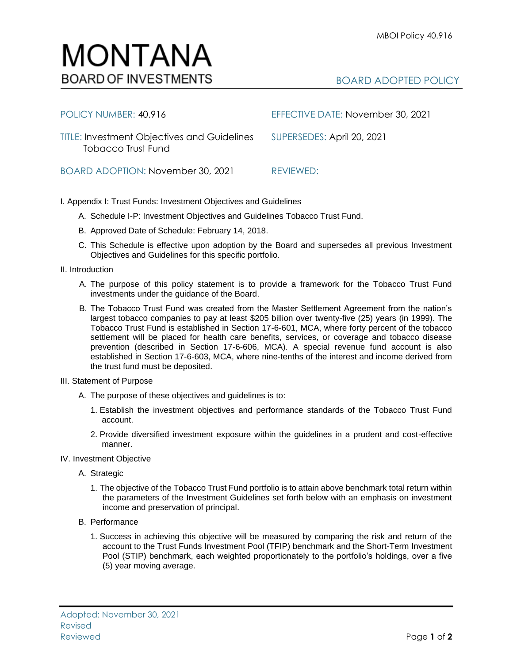## BOARD ADOPTED POLICY

| POLICY NUMBER: 40.916                                                           | EFFECTIVE DATE: November 30, 2021 |
|---------------------------------------------------------------------------------|-----------------------------------|
| <b>TITLE: Investment Objectives and Guidelines</b><br><b>Tobacco Trust Fund</b> | SUPERSEDES: April 20, 2021        |
| BOARD ADOPTION: November 30, 2021                                               | REVIEWED:                         |

I. Appendix I: Trust Funds: Investment Objectives and Guidelines

- A. Schedule I-P: Investment Objectives and Guidelines Tobacco Trust Fund.
- B. Approved Date of Schedule: February 14, 2018.

MONTANA

**BOARD OF INVESTMENTS** 

- C. This Schedule is effective upon adoption by the Board and supersedes all previous Investment Objectives and Guidelines for this specific portfolio*.*
- II. Introduction
	- A. The purpose of this policy statement is to provide a framework for the Tobacco Trust Fund investments under the guidance of the Board.
	- B. The Tobacco Trust Fund was created from the Master Settlement Agreement from the nation's largest tobacco companies to pay at least \$205 billion over twenty-five (25) years (in 1999). The Tobacco Trust Fund is established in Section 17-6-601, MCA, where forty percent of the tobacco settlement will be placed for health care benefits, services, or coverage and tobacco disease prevention (described in Section 17-6-606, MCA). A special revenue fund account is also established in Section 17-6-603, MCA, where nine-tenths of the interest and income derived from the trust fund must be deposited.
- III. Statement of Purpose
	- A. The purpose of these objectives and guidelines is to:
		- 1. Establish the investment objectives and performance standards of the Tobacco Trust Fund account.
		- 2. Provide diversified investment exposure within the guidelines in a prudent and cost-effective manner.
- IV. Investment Objective
	- A. Strategic
		- 1. The objective of the Tobacco Trust Fund portfolio is to attain above benchmark total return within the parameters of the Investment Guidelines set forth below with an emphasis on investment income and preservation of principal.
	- B. Performance
		- 1. Success in achieving this objective will be measured by comparing the risk and return of the account to the Trust Funds Investment Pool (TFIP) benchmark and the Short-Term Investment Pool (STIP) benchmark, each weighted proportionately to the portfolio's holdings, over a five (5) year moving average.